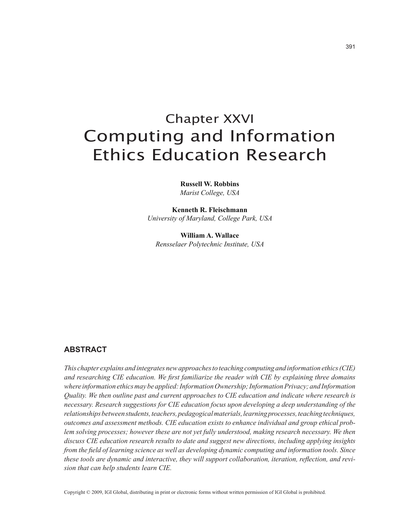# Chapter XXVI Computing and Information Ethics Education Research

**Russell W. Robbins** *Marist College, USA*

**Kenneth R. Fleischmann** *University of Maryland, College Park, USA*

**William A. Wallace** *Rensselaer Polytechnic Institute, USA*

## **abstract**

*This chapter explains and integrates new approaches to teaching computing and information ethics (CIE) and researching CIE education. We first familiarize the reader with CIE by explaining three domains where information ethics may be applied: Information Ownership; Information Privacy; and Information Quality. We then outline past and current approaches to CIE education and indicate where research is necessary. Research suggestions for CIE education focus upon developing a deep understanding of the relationships between students, teachers, pedagogical materials, learning processes, teaching techniques, outcomes and assessment methods. CIE education exists to enhance individual and group ethical problem solving processes; however these are not yet fully understood, making research necessary. We then discuss CIE education research results to date and suggest new directions, including applying insights from the field of learning science as well as developing dynamic computing and information tools. Since these tools are dynamic and interactive, they will support collaboration, iteration, reflection, and revision that can help students learn CIE.*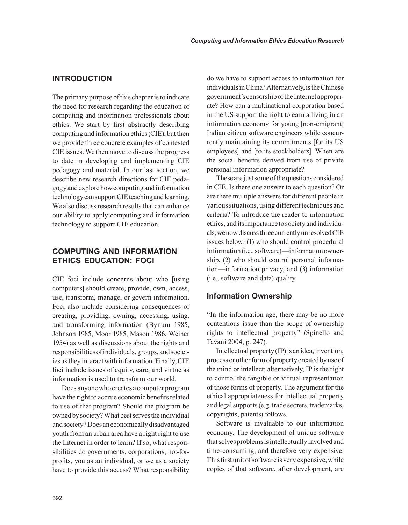# **INtrODUctION**

The primary purpose of this chapter is to indicate the need for research regarding the education of computing and information professionals about ethics. We start by first abstractly describing computing and information ethics (CIE), but then we provide three concrete examples of contested CIE issues. We then move to discuss the progress to date in developing and implementing CIE pedagogy and material. In our last section, we describe new research directions for CIE pedagogy and explore how computing and information technology can support CIE teaching and learning. We also discuss research results that can enhance our ability to apply computing and information technology to support CIE education.

# **cOMPUtING aND INFOrMatION EtHIcs EDUcatION: FOcI**

CIE foci include concerns about who [using computers] should create, provide, own, access, use, transform, manage, or govern information. Foci also include considering consequences of creating, providing, owning, accessing, using, and transforming information (Bynum 1985, Johnson 1985, Moor 1985, Mason 1986, Weiner 1954) as well as discussions about the rights and responsibilities of individuals, groups, and societies as they interact with information. Finally, CIE foci include issues of equity, care, and virtue as information is used to transform our world.

Does anyone who creates a computer program have the right to accrue economic benefits related to use of that program? Should the program be owned by society? What best serves the individual and society? Does an economically disadvantaged youth from an urban area have a right right to use the Internet in order to learn? If so, what responsibilities do governments, corporations, not-forprofits, you as an individual, or we as a society have to provide this access? What responsibility do we have to support access to information for individuals in China? Alternatively, is the Chinese government's censorship of the Internet appropriate? How can a multinational corporation based in the US support the right to earn a living in an information economy for young [non-emigrant] Indian citizen software engineers while concurrently maintaining its commitments [for its US employees] and [to its stockholders]. When are the social benefits derived from use of private personal information appropriate?

These are just some of the questions considered in CIE. Is there one answer to each question? Or are there multiple answers for different people in various situations, using different techniques and criteria? To introduce the reader to information ethics, and its importance to society and individuals, we now discuss three currently unresolved CIE issues below: (1) who should control procedural information (i.e., software)—information ownership, (2) who should control personal information—information privacy, and (3) information (i.e., software and data) quality.

### **Information Ownership**

"In the information age, there may be no more contentious issue than the scope of ownership rights to intellectual property" (Spinello and Tavani 2004, p. 247).

Intellectual property (IP) is an idea, invention, process or other form of property created by use of the mind or intellect; alternatively, IP is the right to control the tangible or virtual representation of those forms of property. The argument for the ethical appropriateness for intellectual property and legal supports (e.g. trade secrets, trademarks, copyrights, patents) follows.

Software is invaluable to our information economy. The development of unique software that solves problems is intellectually involved and time-consuming, and therefore very expensive. This first unit of software is very expensive, while copies of that software, after development, are